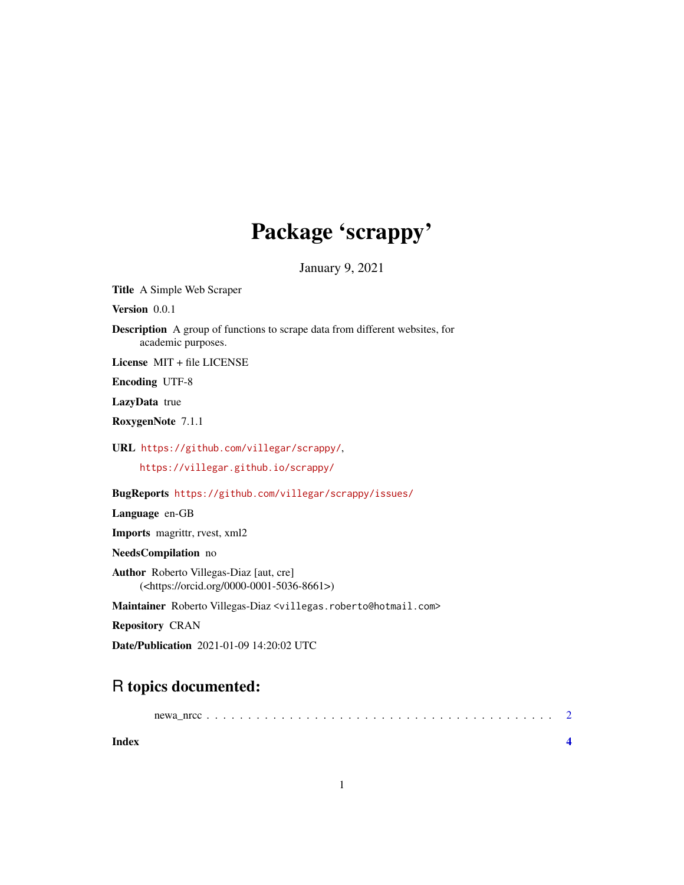## Package 'scrappy'

January 9, 2021

Title A Simple Web Scraper

Version 0.0.1

Description A group of functions to scrape data from different websites, for academic purposes.

License MIT + file LICENSE

Encoding UTF-8

LazyData true

RoxygenNote 7.1.1

URL <https://github.com/villegar/scrappy/>,

<https://villegar.github.io/scrappy/>

BugReports <https://github.com/villegar/scrappy/issues/>

Language en-GB

Imports magrittr, rvest, xml2

NeedsCompilation no

Author Roberto Villegas-Diaz [aut, cre] (<https://orcid.org/0000-0001-5036-8661>)

Maintainer Roberto Villegas-Diaz <villegas.roberto@hotmail.com>

Repository CRAN

Date/Publication 2021-01-09 14:20:02 UTC

### R topics documented:

| nrcc<br>newa |  |
|--------------|--|
|--------------|--|

**Index** [4](#page-3-0)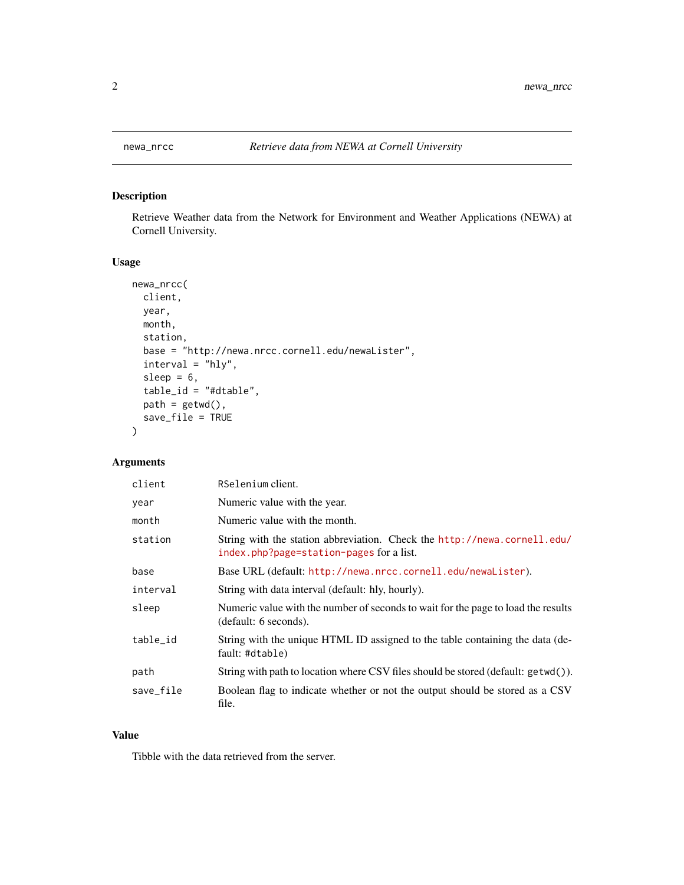<span id="page-1-0"></span>

#### Description

Retrieve Weather data from the Network for Environment and Weather Applications (NEWA) at Cornell University.

#### Usage

```
newa_nrcc(
 client,
 year,
 month,
  station,
  base = "http://newa.nrcc.cornell.edu/newaLister",
  interval = "hly",
  sleep = 6,table_id = "#dtable",
 path = getwd(),
  save_file = TRUE
\mathcal{L}
```
#### Arguments

| client    | RSelenium client.                                                                                                    |
|-----------|----------------------------------------------------------------------------------------------------------------------|
| year      | Numeric value with the year.                                                                                         |
| month     | Numeric value with the month.                                                                                        |
| station   | String with the station abbreviation. Check the http://newa.cornell.edu/<br>index.php?page=station-pages for a list. |
| base      | Base URL (default: http://newa.nrcc.cornell.edu/newaLister).                                                         |
| interval  | String with data interval (default: hly, hourly).                                                                    |
| sleep     | Numeric value with the number of seconds to wait for the page to load the results<br>(default: 6 seconds).           |
| table_id  | String with the unique HTML ID assigned to the table containing the data (de-<br>fault: #dtable)                     |
| path      | String with path to location where CSV files should be stored (default: getwd()).                                    |
| save_file | Boolean flag to indicate whether or not the output should be stored as a CSV<br>file.                                |

#### Value

Tibble with the data retrieved from the server.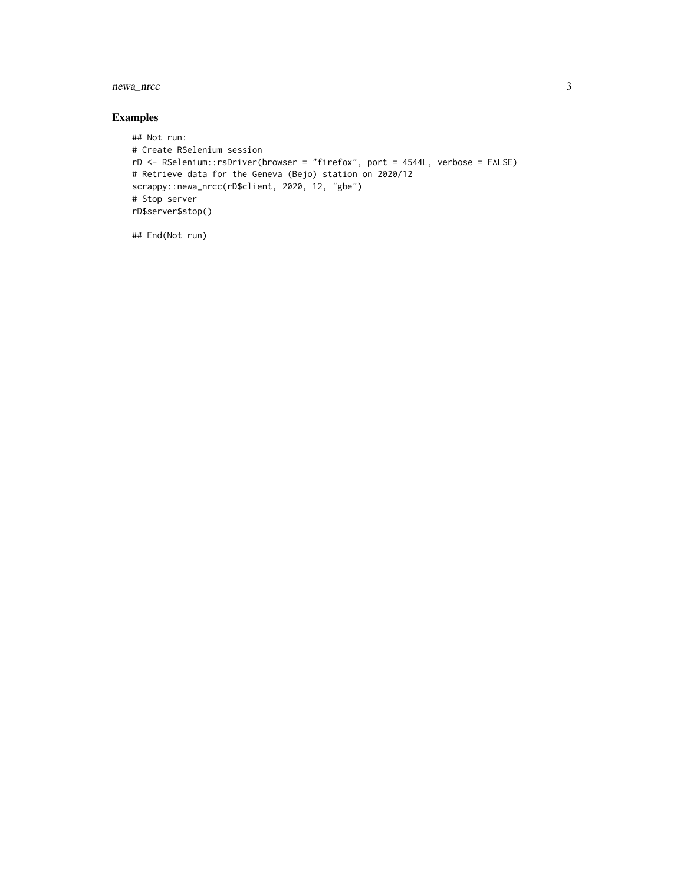newa\_nrcc 3

#### Examples

```
## Not run:
# Create RSelenium session
rD <- RSelenium::rsDriver(browser = "firefox", port = 4544L, verbose = FALSE)
# Retrieve data for the Geneva (Bejo) station on 2020/12
scrappy::newa_nrcc(rD$client, 2020, 12, "gbe")
# Stop server
rD$server$stop()
```
## End(Not run)